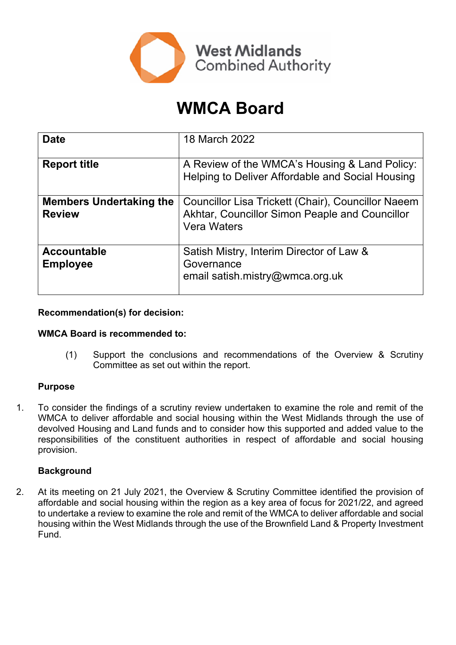

# **WMCA Board**

| <b>Date</b>                                     | 18 March 2022                                                                                                              |
|-------------------------------------------------|----------------------------------------------------------------------------------------------------------------------------|
| <b>Report title</b>                             | A Review of the WMCA's Housing & Land Policy:<br>Helping to Deliver Affordable and Social Housing                          |
| <b>Members Undertaking the</b><br><b>Review</b> | Councillor Lisa Trickett (Chair), Councillor Naeem<br>Akhtar, Councillor Simon Peaple and Councillor<br><b>Vera Waters</b> |
| <b>Accountable</b><br><b>Employee</b>           | Satish Mistry, Interim Director of Law &<br>Governance<br>email satish.mistry@wmca.org.uk                                  |

## **Recommendation(s) for decision:**

#### **WMCA Board is recommended to:**

(1) Support the conclusions and recommendations of the Overview & Scrutiny Committee as set out within the report.

# **Purpose**

1. To consider the findings of a scrutiny review undertaken to examine the role and remit of the WMCA to deliver affordable and social housing within the West Midlands through the use of devolved Housing and Land funds and to consider how this supported and added value to the responsibilities of the constituent authorities in respect of affordable and social housing provision.

#### **Background**

2. At its meeting on 21 July 2021, the Overview & Scrutiny Committee identified the provision of affordable and social housing within the region as a key area of focus for 2021/22, and agreed to undertake a review to examine the role and remit of the WMCA to deliver affordable and social housing within the West Midlands through the use of the Brownfield Land & Property Investment Fund.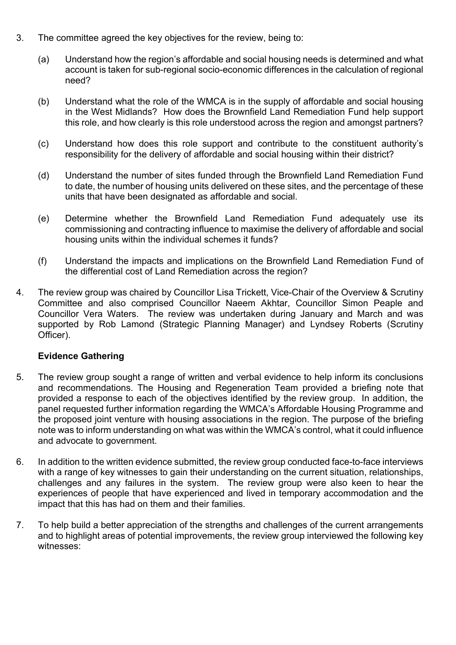- 3. The committee agreed the key objectives for the review, being to:
	- (a) Understand how the region's affordable and social housing needs is determined and what account is taken for sub-regional socio-economic differences in the calculation of regional need?
	- (b) Understand what the role of the WMCA is in the supply of affordable and social housing in the West Midlands? How does the Brownfield Land Remediation Fund help support this role, and how clearly is this role understood across the region and amongst partners?
	- (c) Understand how does this role support and contribute to the constituent authority's responsibility for the delivery of affordable and social housing within their district?
	- (d) Understand the number of sites funded through the Brownfield Land Remediation Fund to date, the number of housing units delivered on these sites, and the percentage of these units that have been designated as affordable and social.
	- (e) Determine whether the Brownfield Land Remediation Fund adequately use its commissioning and contracting influence to maximise the delivery of affordable and social housing units within the individual schemes it funds?
	- (f) Understand the impacts and implications on the Brownfield Land Remediation Fund of the differential cost of Land Remediation across the region?
- 4. The review group was chaired by Councillor Lisa Trickett, Vice-Chair of the Overview & Scrutiny Committee and also comprised Councillor Naeem Akhtar, Councillor Simon Peaple and Councillor Vera Waters. The review was undertaken during January and March and was supported by Rob Lamond (Strategic Planning Manager) and Lyndsey Roberts (Scrutiny Officer).

# **Evidence Gathering**

- 5. The review group sought a range of written and verbal evidence to help inform its conclusions and recommendations. The Housing and Regeneration Team provided a briefing note that provided a response to each of the objectives identified by the review group. In addition, the panel requested further information regarding the WMCA's Affordable Housing Programme and the proposed joint venture with housing associations in the region. The purpose of the briefing note was to inform understanding on what was within the WMCA's control, what it could influence and advocate to government.
- 6. In addition to the written evidence submitted, the review group conducted face-to-face interviews with a range of key witnesses to gain their understanding on the current situation, relationships, challenges and any failures in the system. The review group were also keen to hear the experiences of people that have experienced and lived in temporary accommodation and the impact that this has had on them and their families.
- 7. To help build a better appreciation of the strengths and challenges of the current arrangements and to highlight areas of potential improvements, the review group interviewed the following key witnesses: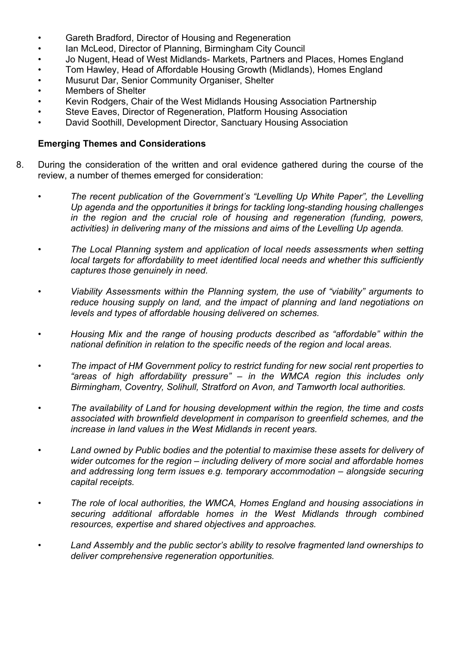- Gareth Bradford, Director of Housing and Regeneration
- Ian McLeod, Director of Planning, Birmingham City Council
- Jo Nugent, Head of West Midlands- Markets, Partners and Places, Homes England
- Tom Hawley, Head of Affordable Housing Growth (Midlands), Homes England
- Musurut Dar, Senior Community Organiser, Shelter
- Members of Shelter
- Kevin Rodgers, Chair of the West Midlands Housing Association Partnership
- Steve Eaves, Director of Regeneration, Platform Housing Association
- David Soothill, Development Director, Sanctuary Housing Association

### **Emerging Themes and Considerations**

- 8. During the consideration of the written and oral evidence gathered during the course of the review, a number of themes emerged for consideration:
	- *The recent publication of the Government's "Levelling Up White Paper", the Levelling Up agenda and the opportunities it brings for tackling long-standing housing challenges in the region and the crucial role of housing and regeneration (funding, powers, activities) in delivering many of the missions and aims of the Levelling Up agenda.*
	- *The Local Planning system and application of local needs assessments when setting local targets for affordability to meet identified local needs and whether this sufficiently captures those genuinely in need.*
	- *Viability Assessments within the Planning system, the use of "viability" arguments to reduce housing supply on land, and the impact of planning and land negotiations on levels and types of affordable housing delivered on schemes.*
	- *Housing Mix and the range of housing products described as "affordable" within the national definition in relation to the specific needs of the region and local areas.*
	- *The impact of HM Government policy to restrict funding for new social rent properties to "areas of high affordability pressure" – in the WMCA region this includes only Birmingham, Coventry, Solihull, Stratford on Avon, and Tamworth local authorities.*
	- *The availability of Land for housing development within the region, the time and costs associated with brownfield development in comparison to greenfield schemes, and the increase in land values in the West Midlands in recent years.*
	- *Land owned by Public bodies and the potential to maximise these assets for delivery of wider outcomes for the region – including delivery of more social and affordable homes and addressing long term issues e.g. temporary accommodation – alongside securing capital receipts.*
	- *The role of local authorities, the WMCA, Homes England and housing associations in securing additional affordable homes in the West Midlands through combined resources, expertise and shared objectives and approaches.*
	- *Land Assembly and the public sector's ability to resolve fragmented land ownerships to deliver comprehensive regeneration opportunities.*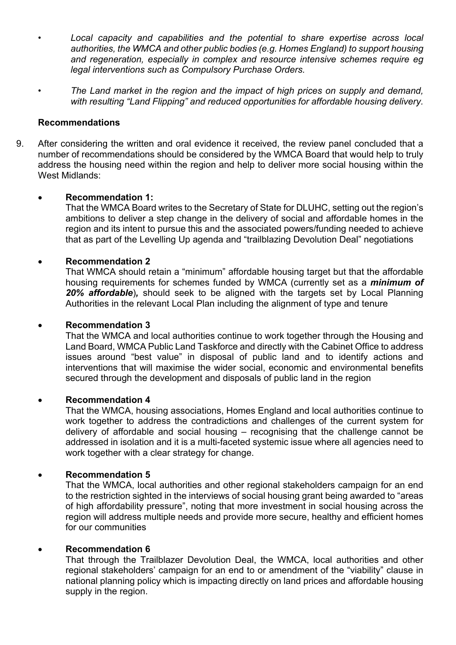- *Local capacity and capabilities and the potential to share expertise across local authorities, the WMCA and other public bodies (e.g. Homes England) to support housing and regeneration, especially in complex and resource intensive schemes require eg legal interventions such as Compulsory Purchase Orders.*
- *The Land market in the region and the impact of high prices on supply and demand, with resulting "Land Flipping" and reduced opportunities for affordable housing delivery.*

#### **Recommendations**

9. After considering the written and oral evidence it received, the review panel concluded that a number of recommendations should be considered by the WMCA Board that would help to truly address the housing need within the region and help to deliver more social housing within the West Midlands:

#### **Recommendation 1:**

That the WMCA Board writes to the Secretary of State for DLUHC, setting out the region's ambitions to deliver a step change in the delivery of social and affordable homes in the region and its intent to pursue this and the associated powers/funding needed to achieve that as part of the Levelling Up agenda and "trailblazing Devolution Deal" negotiations

#### **Recommendation 2**

That WMCA should retain a "minimum" affordable housing target but that the affordable housing requirements for schemes funded by WMCA (currently set as a *minimum of 20% affordable*)*,* should seek to be aligned with the targets set by Local Planning Authorities in the relevant Local Plan including the alignment of type and tenure

#### **Recommendation 3**

That the WMCA and local authorities continue to work together through the Housing and Land Board, WMCA Public Land Taskforce and directly with the Cabinet Office to address issues around "best value" in disposal of public land and to identify actions and interventions that will maximise the wider social, economic and environmental benefits secured through the development and disposals of public land in the region

#### **Recommendation 4**

That the WMCA, housing associations, Homes England and local authorities continue to work together to address the contradictions and challenges of the current system for delivery of affordable and social housing – recognising that the challenge cannot be addressed in isolation and it is a multi-faceted systemic issue where all agencies need to work together with a clear strategy for change.

#### **Recommendation 5**

That the WMCA, local authorities and other regional stakeholders campaign for an end to the restriction sighted in the interviews of social housing grant being awarded to "areas of high affordability pressure", noting that more investment in social housing across the region will address multiple needs and provide more secure, healthy and efficient homes for our communities

#### **Recommendation 6**

That through the Trailblazer Devolution Deal, the WMCA, local authorities and other regional stakeholders' campaign for an end to or amendment of the "viability" clause in national planning policy which is impacting directly on land prices and affordable housing supply in the region.